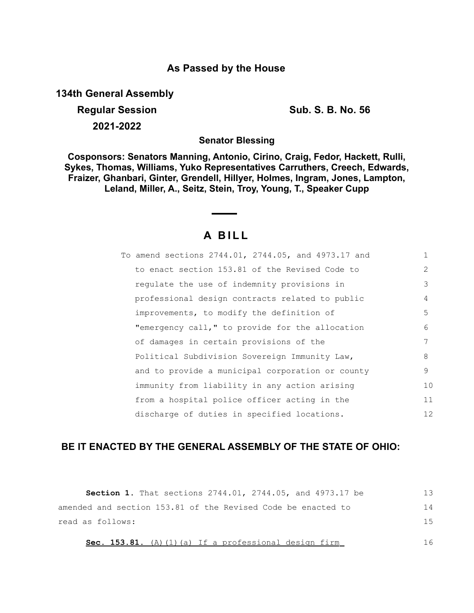# **As Passed by the House**

**134th General Assembly**

**Regular Session Sub. S. B. No. 56 Sub. S. B. No. 56 2021-2022**

**Senator Blessing**

**Cosponsors: Senators Manning, Antonio, Cirino, Craig, Fedor, Hackett, Rulli, Sykes, Thomas, Williams, Yuko Representatives Carruthers, Creech, Edwards, Fraizer, Ghanbari, Ginter, Grendell, Hillyer, Holmes, Ingram, Jones, Lampton, Leland, Miller, A., Seitz, Stein, Troy, Young, T., Speaker Cupp**

# **A B I L L**

| To amend sections 2744.01, 2744.05, and 4973.17 and |               |
|-----------------------------------------------------|---------------|
| to enact section 153.81 of the Revised Code to      | $\mathcal{L}$ |
| requlate the use of indemnity provisions in         | 3             |
| professional design contracts related to public     | 4             |
| improvements, to modify the definition of           | 5             |
| "emergency call," to provide for the allocation     | 6             |
| of damages in certain provisions of the             | 7             |
| Political Subdivision Sovereign Immunity Law,       | 8             |
| and to provide a municipal corporation or county    | 9             |
| immunity from liability in any action arising       | 10            |
| from a hospital police officer acting in the        | 11            |
| discharge of duties in specified locations.         | 12            |

# **BE IT ENACTED BY THE GENERAL ASSEMBLY OF THE STATE OF OHIO:**

| Section 1. That sections 2744.01, 2744.05, and 4973.17 be    | 13 |
|--------------------------------------------------------------|----|
| amended and section 153.81 of the Revised Code be enacted to | 14 |
| read as follows:                                             | 15 |
| Sec. 153.81. (A) (1) (a) If a professional design firm       | 16 |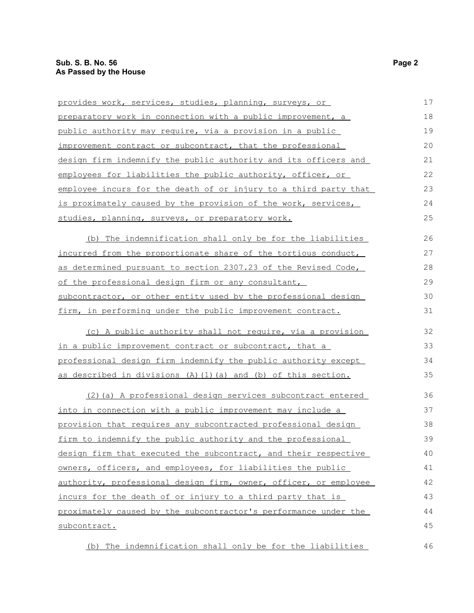provides work, services, studies, planning, surveys, or preparatory work in connection with a public improvement, a public authority may require, via a provision in a public improvement contract or subcontract, that the professional design firm indemnify the public authority and its officers and employees for liabilities the public authority, officer, or employee incurs for the death of or injury to a third party that is proximately caused by the provision of the work, services, studies, planning, surveys, or preparatory work. (b) The indemnification shall only be for the liabilities incurred from the proportionate share of the tortious conduct, as determined pursuant to section 2307.23 of the Revised Code, of the professional design firm or any consultant, subcontractor, or other entity used by the professional design firm, in performing under the public improvement contract. (c) A public authority shall not require, via a provision in a public improvement contract or subcontract, that a professional design firm indemnify the public authority except as described in divisions (A)(1)(a) and (b) of this section. (2)(a) A professional design services subcontract entered into in connection with a public improvement may include a provision that requires any subcontracted professional design firm to indemnify the public authority and the professional design firm that executed the subcontract, and their respective owners, officers, and employees, for liabilities the public authority, professional design firm, owner, officer, or employee incurs for the death of or injury to a third party that is proximately caused by the subcontractor's performance under the subcontract. 17 18 19 20 21 22 23 24 25 26 27 28 29 30 31 32 33 34 35 36 37 38 39 40 41 42 43 44 45

(b) The indemnification shall only be for the liabilities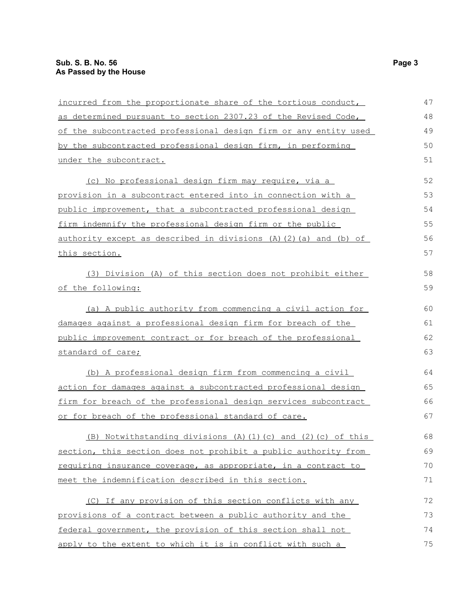| incurred from the proportionate share of the tortious conduct,      | 47 |
|---------------------------------------------------------------------|----|
| as determined pursuant to section 2307.23 of the Revised Code,      | 48 |
| of the subcontracted professional design firm or any entity used    | 49 |
| by the subcontracted professional design firm, in performing        | 50 |
| under the subcontract.                                              | 51 |
| (c) No professional design firm may require, via a                  | 52 |
| <u>provision in a subcontract entered into in connection with a</u> | 53 |
| public improvement, that a subcontracted professional design        | 54 |
| firm indemnify the professional design firm or the public           | 55 |
| authority except as described in divisions (A) (2) (a) and (b) of   | 56 |
| this section.                                                       | 57 |
| (3) Division (A) of this section does not prohibit either           | 58 |
| of the following:                                                   | 59 |
| (a) A public authority from commencing a civil action for           | 60 |
| damages against a professional design firm for breach of the        | 61 |
| public improvement contract or for breach of the professional       | 62 |
| standard of care;                                                   | 63 |
| (b) A professional design firm from commencing a civil              | 64 |
| action for damages against a subcontracted professional design      | 65 |
| firm for breach of the professional design services subcontract     | 66 |
| or for breach of the professional standard of care.                 | 67 |
| (B) Notwithstanding divisions (A)(1)(c) and (2)(c) of this          | 68 |
| section, this section does not prohibit a public authority from     | 69 |
| requiring insurance coverage, as appropriate, in a contract to      | 70 |
| meet the indemnification described in this section.                 | 71 |
| (C) If any provision of this section conflicts with any             | 72 |
| provisions of a contract between a public authority and the         | 73 |
| federal government, the provision of this section shall not         | 74 |
| apply to the extent to which it is in conflict with such a          | 75 |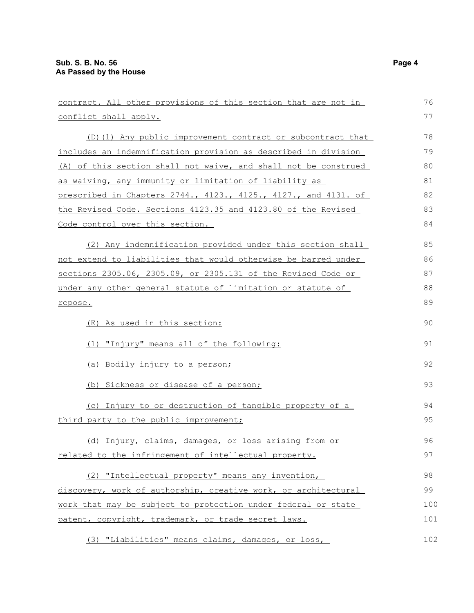| contract. All other provisions of this section that are not in  |     |
|-----------------------------------------------------------------|-----|
| conflict shall apply.                                           |     |
| (D)(1) Any public improvement contract or subcontract that      | 78  |
| includes an indemnification provision as described in division  | 79  |
| (A) of this section shall not waive, and shall not be construed | 80  |
| as waiving, any immunity or limitation of liability as          | 81  |
| prescribed in Chapters 2744., 4123., 4125., 4127., and 4131. of | 82  |
| the Revised Code. Sections 4123.35 and 4123.80 of the Revised   | 83  |
| Code control over this section.                                 | 84  |
| (2) Any indemnification provided under this section shall       | 85  |
| not extend to liabilities that would otherwise be barred under  | 86  |
| sections 2305.06, 2305.09, or 2305.131 of the Revised Code or   | 87  |
| under any other general statute of limitation or statute of     | 88  |
| repose.                                                         |     |
| (E) As used in this section:                                    | 90  |
| (1) "Injury" means all of the following:                        | 91  |
| (a) Bodily injury to a person;                                  | 92  |
| (b) Sickness or disease of a person;                            | 93  |
| (c) Injury to or destruction of tangible property of a          | 94  |
| third party to the public improvement;                          | 95  |
| (d) Injury, claims, damages, or loss arising from or            | 96  |
| related to the infringement of intellectual property.           | 97  |
| (2) "Intellectual property" means any invention,                | 98  |
| discovery, work of authorship, creative work, or architectural  | 99  |
| work that may be subject to protection under federal or state   | 100 |
| patent, copyright, trademark, or trade secret laws.             | 101 |
| (3) "Liabilities" means claims, damages, or loss,               | 102 |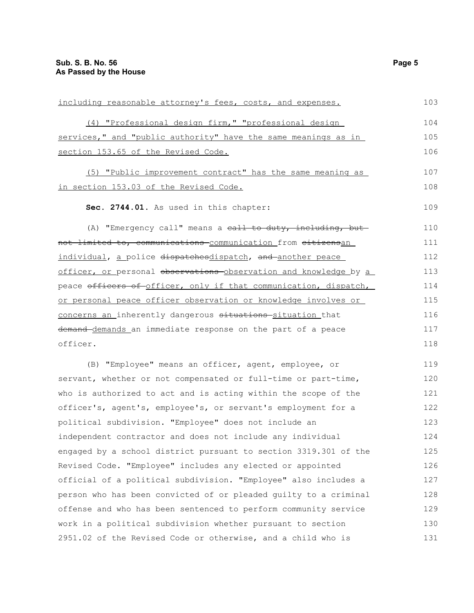| including reasonable attorney's fees, costs, and expenses.       | 103 |
|------------------------------------------------------------------|-----|
| (4) "Professional design firm," "professional design             | 104 |
| services," and "public authority" have the same meanings as in   | 105 |
| section 153.65 of the Revised Code.                              | 106 |
| (5) "Public improvement contract" has the same meaning as        | 107 |
| in section 153.03 of the Revised Code.                           | 108 |
| Sec. 2744.01. As used in this chapter:                           | 109 |
| (A) "Emergency call" means a call to duty, including, but        | 110 |
| not limited to, communications communication from citizensan     | 111 |
| individual, a police dispatchesdispatch, and another peace       | 112 |
| officer, or personal observations observation and knowledge by a | 113 |
| peace officers of officer, only if that communication, dispatch, | 114 |
| or personal peace officer observation or knowledge involves or   | 115 |
| concerns an inherently dangerous situations situation that       | 116 |
| demand demands an immediate response on the part of a peace      | 117 |
| officer.                                                         | 118 |
| (B) "Employee" means an officer, agent, employee, or             | 119 |
| servant, whether or not compensated or full-time or part-time,   | 120 |
| who is authorized to act and is acting within the scope of the   | 121 |
| officer's, agent's, employee's, or servant's employment for a    | 122 |
| political subdivision. "Employee" does not include an            | 123 |
| independent contractor and does not include any individual       | 124 |
| engaged by a school district pursuant to section 3319.301 of the | 125 |
| Revised Code. "Employee" includes any elected or appointed       | 126 |
| official of a political subdivision. "Employee" also includes a  | 127 |
| person who has been convicted of or pleaded guilty to a criminal | 128 |
| offense and who has been sentenced to perform community service  | 129 |
| work in a political subdivision whether pursuant to section      | 130 |
| 2951.02 of the Revised Code or otherwise, and a child who is     | 131 |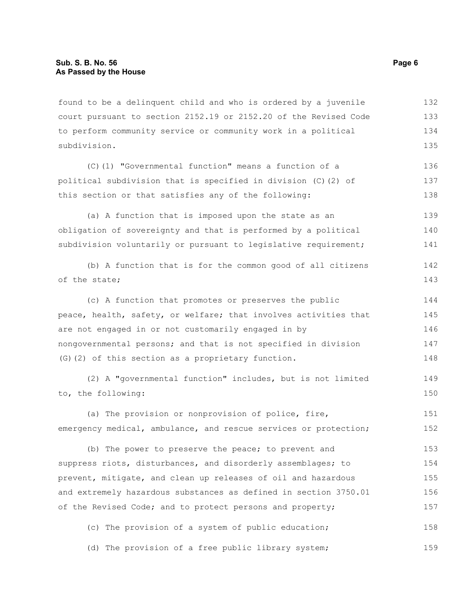found to be a delinquent child and who is ordered by a juvenile court pursuant to section 2152.19 or 2152.20 of the Revised Code to perform community service or community work in a political subdivision. 132 133 134 135

(C)(1) "Governmental function" means a function of a political subdivision that is specified in division (C)(2) of this section or that satisfies any of the following: 136 137 138

(a) A function that is imposed upon the state as an obligation of sovereignty and that is performed by a political subdivision voluntarily or pursuant to legislative requirement; 139 140 141

(b) A function that is for the common good of all citizens of the state; 142 143

(c) A function that promotes or preserves the public peace, health, safety, or welfare; that involves activities that are not engaged in or not customarily engaged in by nongovernmental persons; and that is not specified in division (G)(2) of this section as a proprietary function. 144 145 146 147 148

(2) A "governmental function" includes, but is not limited to, the following: 149 150

(a) The provision or nonprovision of police, fire, emergency medical, ambulance, and rescue services or protection; 151 152

(b) The power to preserve the peace; to prevent and suppress riots, disturbances, and disorderly assemblages; to prevent, mitigate, and clean up releases of oil and hazardous and extremely hazardous substances as defined in section 3750.01 of the Revised Code; and to protect persons and property; 153 154 155 156 157

(c) The provision of a system of public education; (d) The provision of a free public library system; 158 159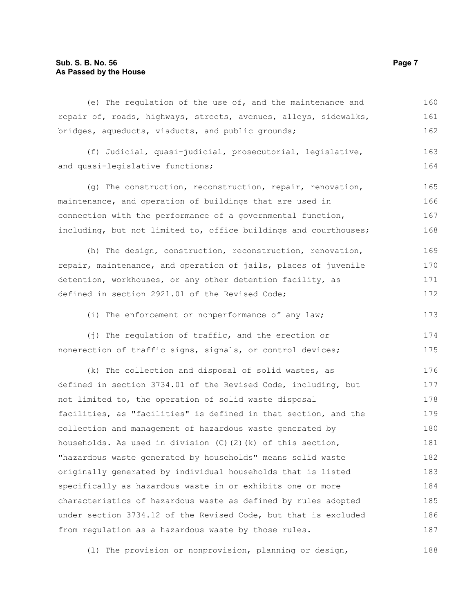# **Sub. S. B. No. 56 Page 7 Page 7 Page 7 Page 7 Page 7 Page 7 Page 7 Page 7 As Passed by the House**

(e) The regulation of the use of, and the maintenance and repair of, roads, highways, streets, avenues, alleys, sidewalks, bridges, aqueducts, viaducts, and public grounds; 160 161 162

(f) Judicial, quasi-judicial, prosecutorial, legislative, and quasi-legislative functions; 163 164

(g) The construction, reconstruction, repair, renovation, maintenance, and operation of buildings that are used in connection with the performance of a governmental function, including, but not limited to, office buildings and courthouses; 165 166 167 168

(h) The design, construction, reconstruction, renovation, repair, maintenance, and operation of jails, places of juvenile detention, workhouses, or any other detention facility, as defined in section 2921.01 of the Revised Code; 169 170 171 172

(i) The enforcement or nonperformance of any law; 173

(j) The regulation of traffic, and the erection or nonerection of traffic signs, signals, or control devices; 174 175

(k) The collection and disposal of solid wastes, as defined in section 3734.01 of the Revised Code, including, but not limited to, the operation of solid waste disposal facilities, as "facilities" is defined in that section, and the collection and management of hazardous waste generated by households. As used in division (C)(2)(k) of this section, "hazardous waste generated by households" means solid waste originally generated by individual households that is listed specifically as hazardous waste in or exhibits one or more characteristics of hazardous waste as defined by rules adopted under section 3734.12 of the Revised Code, but that is excluded from regulation as a hazardous waste by those rules. 176 177 178 179 180 181 182 183 184 185 186 187

(l) The provision or nonprovision, planning or design,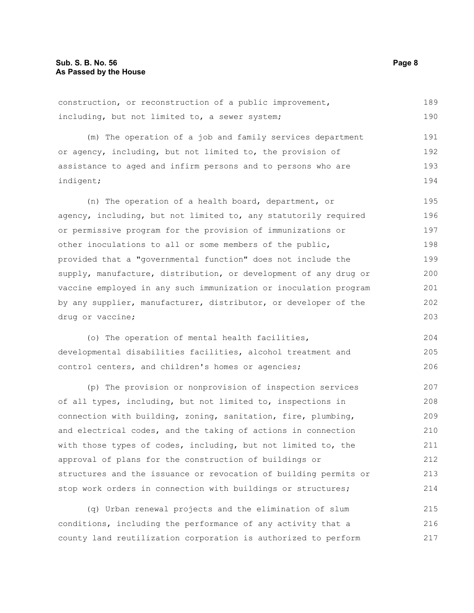construction, or reconstruction of a public improvement, including, but not limited to, a sewer system; (m) The operation of a job and family services department or agency, including, but not limited to, the provision of assistance to aged and infirm persons and to persons who are indigent; (n) The operation of a health board, department, or agency, including, but not limited to, any statutorily required or permissive program for the provision of immunizations or other inoculations to all or some members of the public, provided that a "governmental function" does not include the supply, manufacture, distribution, or development of any drug or vaccine employed in any such immunization or inoculation program by any supplier, manufacturer, distributor, or developer of the drug or vaccine; (o) The operation of mental health facilities, developmental disabilities facilities, alcohol treatment and control centers, and children's homes or agencies; 189 190 191 192 193 194 195 196 197 198 199 200 201 202 203 204 205 206

(p) The provision or nonprovision of inspection services of all types, including, but not limited to, inspections in connection with building, zoning, sanitation, fire, plumbing, and electrical codes, and the taking of actions in connection with those types of codes, including, but not limited to, the approval of plans for the construction of buildings or structures and the issuance or revocation of building permits or stop work orders in connection with buildings or structures; 207 208 209 210 211 212 213 214

(q) Urban renewal projects and the elimination of slum conditions, including the performance of any activity that a county land reutilization corporation is authorized to perform 215 216 217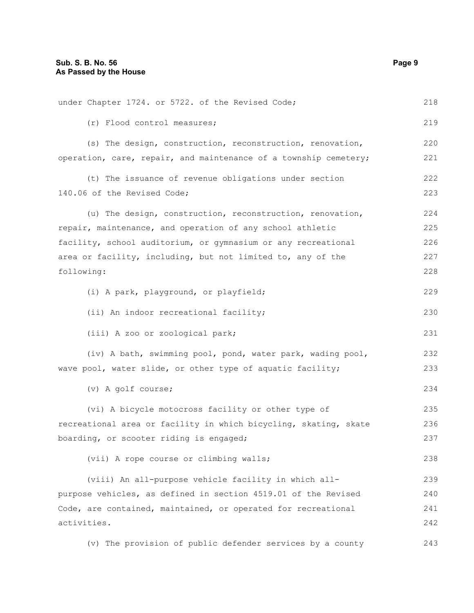| under Chapter 1724. or 5722. of the Revised Code;                | 218 |
|------------------------------------------------------------------|-----|
| (r) Flood control measures;                                      | 219 |
| (s) The design, construction, reconstruction, renovation,        | 220 |
| operation, care, repair, and maintenance of a township cemetery; | 221 |
| (t) The issuance of revenue obligations under section            | 222 |
| 140.06 of the Revised Code;                                      | 223 |
| (u) The design, construction, reconstruction, renovation,        | 224 |
| repair, maintenance, and operation of any school athletic        | 225 |
| facility, school auditorium, or gymnasium or any recreational    | 226 |
| area or facility, including, but not limited to, any of the      | 227 |
| following:                                                       | 228 |
| (i) A park, playground, or playfield;                            | 229 |
| (ii) An indoor recreational facility;                            | 230 |
| (iii) A zoo or zoological park;                                  | 231 |
| (iv) A bath, swimming pool, pond, water park, wading pool,       | 232 |
| wave pool, water slide, or other type of aquatic facility;       | 233 |
| (v) A golf course;                                               | 234 |
| (vi) A bicycle motocross facility or other type of               | 235 |
| recreational area or facility in which bicycling, skating, skate | 236 |
| boarding, or scooter riding is engaged;                          |     |
| (vii) A rope course or climbing walls;                           | 238 |
| (viii) An all-purpose vehicle facility in which all-             | 239 |
| purpose vehicles, as defined in section 4519.01 of the Revised   | 240 |
| Code, are contained, maintained, or operated for recreational    | 241 |
| activities.                                                      | 242 |
| (v) The provision of public defender services by a county        | 243 |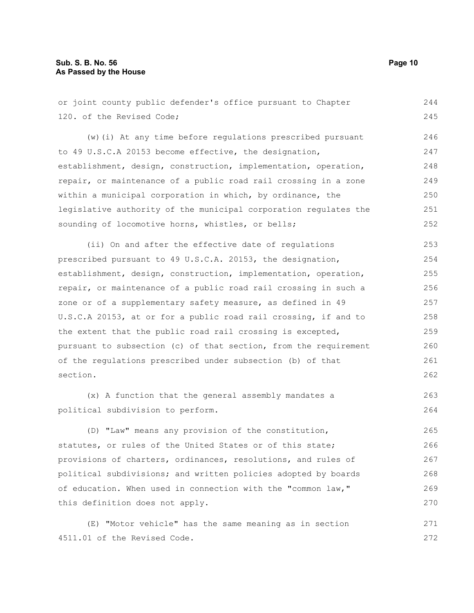or joint county public defender's office pursuant to Chapter 120. of the Revised Code; (w)(i) At any time before regulations prescribed pursuant to 49 U.S.C.A 20153 become effective, the designation, establishment, design, construction, implementation, operation, repair, or maintenance of a public road rail crossing in a zone within a municipal corporation in which, by ordinance, the legislative authority of the municipal corporation regulates the sounding of locomotive horns, whistles, or bells; (ii) On and after the effective date of regulations prescribed pursuant to 49 U.S.C.A. 20153, the designation, establishment, design, construction, implementation, operation, repair, or maintenance of a public road rail crossing in such a zone or of a supplementary safety measure, as defined in 49 U.S.C.A 20153, at or for a public road rail crossing, if and to the extent that the public road rail crossing is excepted, pursuant to subsection (c) of that section, from the requirement of the regulations prescribed under subsection (b) of that section. (x) A function that the general assembly mandates a political subdivision to perform. 244 245 246 247 248 249 250 251 252 253 254 255 256 257 258 259 260 261 262 263 264

(D) "Law" means any provision of the constitution, statutes, or rules of the United States or of this state; provisions of charters, ordinances, resolutions, and rules of political subdivisions; and written policies adopted by boards of education. When used in connection with the "common law," this definition does not apply. 265 266 267 268 269 270

(E) "Motor vehicle" has the same meaning as in section 4511.01 of the Revised Code. 271 272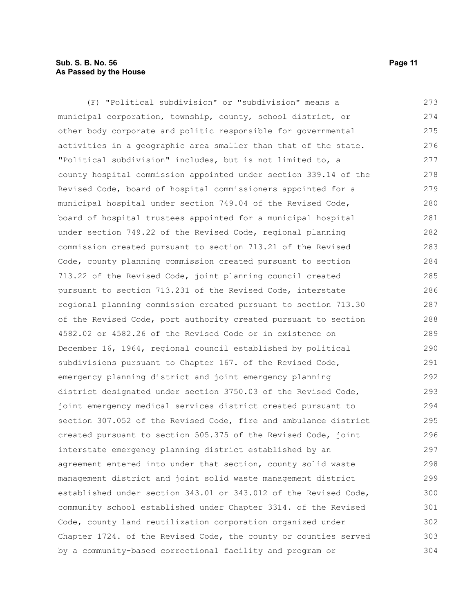# **Sub. S. B. No. 56 Page 11 As Passed by the House**

(F) "Political subdivision" or "subdivision" means a municipal corporation, township, county, school district, or other body corporate and politic responsible for governmental activities in a geographic area smaller than that of the state. "Political subdivision" includes, but is not limited to, a county hospital commission appointed under section 339.14 of the Revised Code, board of hospital commissioners appointed for a municipal hospital under section 749.04 of the Revised Code, board of hospital trustees appointed for a municipal hospital under section 749.22 of the Revised Code, regional planning commission created pursuant to section 713.21 of the Revised Code, county planning commission created pursuant to section 713.22 of the Revised Code, joint planning council created pursuant to section 713.231 of the Revised Code, interstate regional planning commission created pursuant to section 713.30 of the Revised Code, port authority created pursuant to section 4582.02 or 4582.26 of the Revised Code or in existence on December 16, 1964, regional council established by political subdivisions pursuant to Chapter 167. of the Revised Code, emergency planning district and joint emergency planning district designated under section 3750.03 of the Revised Code, joint emergency medical services district created pursuant to section 307.052 of the Revised Code, fire and ambulance district created pursuant to section 505.375 of the Revised Code, joint interstate emergency planning district established by an agreement entered into under that section, county solid waste management district and joint solid waste management district established under section 343.01 or 343.012 of the Revised Code, community school established under Chapter 3314. of the Revised Code, county land reutilization corporation organized under Chapter 1724. of the Revised Code, the county or counties served by a community-based correctional facility and program or 273 274 275 276 277 278 279 280 281 282 283 284 285 286 287 288 289 290 291 292 293 294 295 296 297 298 299 300 301 302 303 304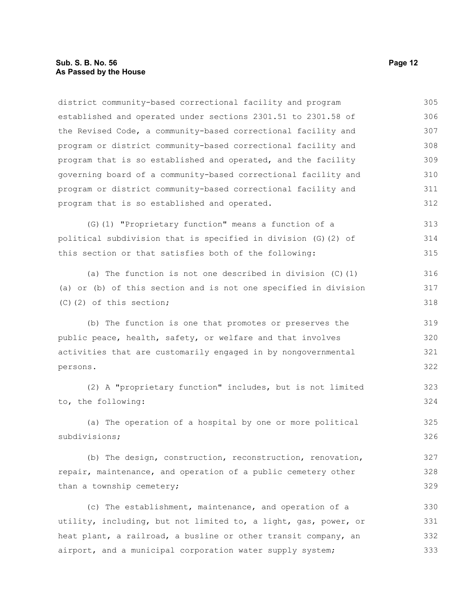# **Sub. S. B. No. 56 Page 12 As Passed by the House**

district community-based correctional facility and program established and operated under sections 2301.51 to 2301.58 of the Revised Code, a community-based correctional facility and program or district community-based correctional facility and program that is so established and operated, and the facility governing board of a community-based correctional facility and program or district community-based correctional facility and program that is so established and operated. (G)(1) "Proprietary function" means a function of a political subdivision that is specified in division (G)(2) of this section or that satisfies both of the following: (a) The function is not one described in division (C)(1) (a) or (b) of this section and is not one specified in division (C)(2) of this section; (b) The function is one that promotes or preserves the public peace, health, safety, or welfare and that involves activities that are customarily engaged in by nongovernmental persons. (2) A "proprietary function" includes, but is not limited to, the following: (a) The operation of a hospital by one or more political subdivisions; (b) The design, construction, reconstruction, renovation, repair, maintenance, and operation of a public cemetery other than a township cemetery; (c) The establishment, maintenance, and operation of a utility, including, but not limited to, a light, gas, power, or heat plant, a railroad, a busline or other transit company, an airport, and a municipal corporation water supply system; 305 306 307 308 309 310 311 312 313 314 315 316 317 318 319 320 321 322 323 324 325 326 327 328 329 330 331 332 333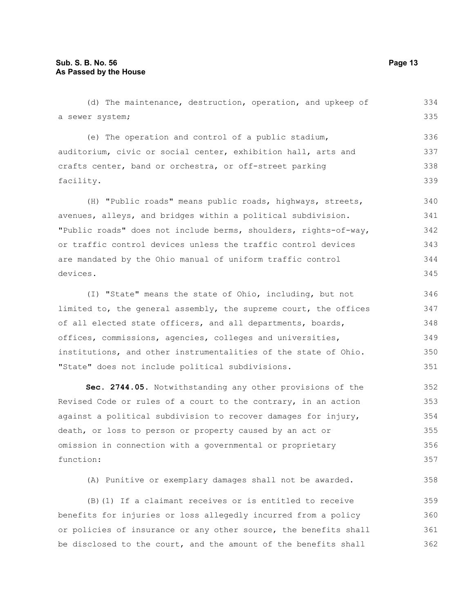| (d) The maintenance, destruction, operation, and upkeep of       | 334 |
|------------------------------------------------------------------|-----|
| a sewer system;                                                  | 335 |
| (e) The operation and control of a public stadium,               | 336 |
| auditorium, civic or social center, exhibition hall, arts and    | 337 |
| crafts center, band or orchestra, or off-street parking          | 338 |
| facility.                                                        | 339 |
| (H) "Public roads" means public roads, highways, streets,        | 340 |
| avenues, alleys, and bridges within a political subdivision.     | 341 |
| "Public roads" does not include berms, shoulders, rights-of-way, | 342 |
| or traffic control devices unless the traffic control devices    | 343 |
|                                                                  | 344 |
| are mandated by the Ohio manual of uniform traffic control       |     |
| devices.                                                         | 345 |
| (I) "State" means the state of Ohio, including, but not          | 346 |
| limited to, the general assembly, the supreme court, the offices | 347 |
| of all elected state officers, and all departments, boards,      | 348 |
| offices, commissions, agencies, colleges and universities,       | 349 |
| institutions, and other instrumentalities of the state of Ohio.  | 350 |
| "State" does not include political subdivisions.                 | 351 |
| Sec. 2744.05. Notwithstanding any other provisions of the        | 352 |
| Revised Code or rules of a court to the contrary, in an action   | 353 |
| against a political subdivision to recover damages for injury,   | 354 |
| death, or loss to person or property caused by an act or         | 355 |
| omission in connection with a governmental or proprietary        | 356 |
| function:                                                        | 357 |
| (A) Punitive or exemplary damages shall not be awarded.          | 358 |
| (B) (1) If a claimant receives or is entitled to receive         | 359 |
| benefits for injuries or loss allegedly incurred from a policy   | 360 |
| or policies of insurance or any other source, the benefits shall | 361 |
| be disclosed to the court, and the amount of the benefits shall  | 362 |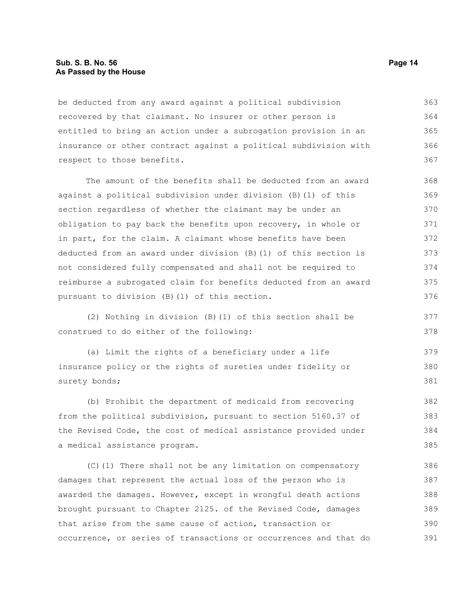# **Sub. S. B. No. 56 Page 14 As Passed by the House**

be deducted from any award against a political subdivision recovered by that claimant. No insurer or other person is entitled to bring an action under a subrogation provision in an insurance or other contract against a political subdivision with respect to those benefits. 363 364 365 366 367

The amount of the benefits shall be deducted from an award against a political subdivision under division (B)(1) of this section regardless of whether the claimant may be under an obligation to pay back the benefits upon recovery, in whole or in part, for the claim. A claimant whose benefits have been deducted from an award under division (B)(1) of this section is not considered fully compensated and shall not be required to reimburse a subrogated claim for benefits deducted from an award pursuant to division (B)(1) of this section. 368 369 370 371 372 373 374 375 376

(2) Nothing in division (B)(1) of this section shall be construed to do either of the following:

(a) Limit the rights of a beneficiary under a life insurance policy or the rights of sureties under fidelity or surety bonds; 379 380 381

(b) Prohibit the department of medicaid from recovering from the political subdivision, pursuant to section 5160.37 of the Revised Code, the cost of medical assistance provided under a medical assistance program. 382 383 384 385

(C)(1) There shall not be any limitation on compensatory damages that represent the actual loss of the person who is awarded the damages. However, except in wrongful death actions brought pursuant to Chapter 2125. of the Revised Code, damages that arise from the same cause of action, transaction or occurrence, or series of transactions or occurrences and that do 386 387 388 389 390 391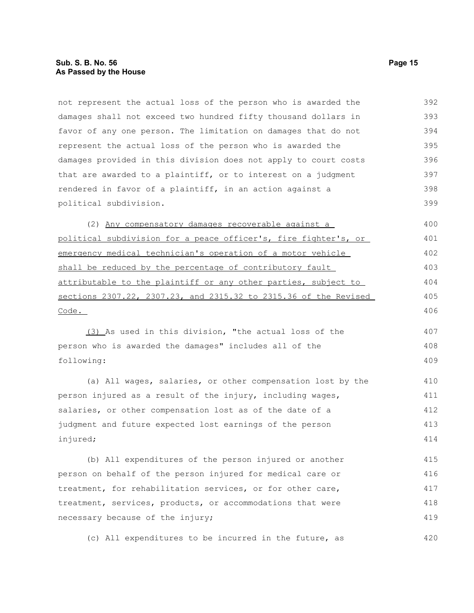# **Sub. S. B. No. 56 Page 15 As Passed by the House**

not represent the actual loss of the person who is awarded the damages shall not exceed two hundred fifty thousand dollars in favor of any one person. The limitation on damages that do not represent the actual loss of the person who is awarded the damages provided in this division does not apply to court costs that are awarded to a plaintiff, or to interest on a judgment rendered in favor of a plaintiff, in an action against a political subdivision. 392 393 394 395 396 397 398 399

(2) Any compensatory damages recoverable against a political subdivision for a peace officer's, fire fighter's, or emergency medical technician's operation of a motor vehicle shall be reduced by the percentage of contributory fault attributable to the plaintiff or any other parties, subject to sections 2307.22, 2307.23, and 2315.32 to 2315.36 of the Revised Code. 400 401 402 403 404 405 406

(3) As used in this division, "the actual loss of the person who is awarded the damages" includes all of the following:

(a) All wages, salaries, or other compensation lost by the person injured as a result of the injury, including wages, salaries, or other compensation lost as of the date of a judgment and future expected lost earnings of the person injured;

(b) All expenditures of the person injured or another person on behalf of the person injured for medical care or treatment, for rehabilitation services, or for other care, treatment, services, products, or accommodations that were necessary because of the injury; 415 416 417 418 419

(c) All expenditures to be incurred in the future, as

407 408 409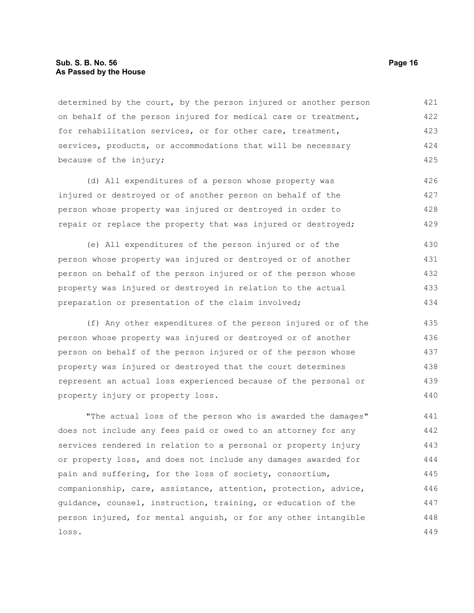determined by the court, by the person injured or another person on behalf of the person injured for medical care or treatment, for rehabilitation services, or for other care, treatment, services, products, or accommodations that will be necessary because of the injury; 421 422 423 424 425

(d) All expenditures of a person whose property was injured or destroyed or of another person on behalf of the person whose property was injured or destroyed in order to repair or replace the property that was injured or destroyed; 426 427 428 429

(e) All expenditures of the person injured or of the person whose property was injured or destroyed or of another person on behalf of the person injured or of the person whose property was injured or destroyed in relation to the actual preparation or presentation of the claim involved; 430 431 432 433 434

(f) Any other expenditures of the person injured or of the person whose property was injured or destroyed or of another person on behalf of the person injured or of the person whose property was injured or destroyed that the court determines represent an actual loss experienced because of the personal or property injury or property loss.

"The actual loss of the person who is awarded the damages" does not include any fees paid or owed to an attorney for any services rendered in relation to a personal or property injury or property loss, and does not include any damages awarded for pain and suffering, for the loss of society, consortium, companionship, care, assistance, attention, protection, advice, guidance, counsel, instruction, training, or education of the person injured, for mental anguish, or for any other intangible loss. 441 442 443 444 445 446 447 448 449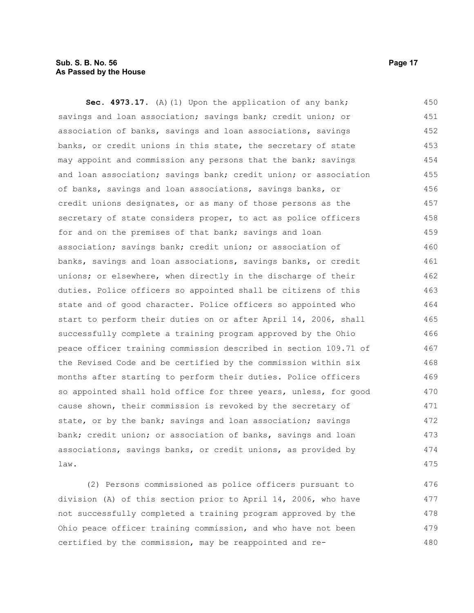# **Sub. S. B. No. 56 Page 17 As Passed by the House**

Sec. 4973.17. (A)(1) Upon the application of any bank; savings and loan association; savings bank; credit union; or association of banks, savings and loan associations, savings banks, or credit unions in this state, the secretary of state may appoint and commission any persons that the bank; savings and loan association; savings bank; credit union; or association of banks, savings and loan associations, savings banks, or credit unions designates, or as many of those persons as the secretary of state considers proper, to act as police officers for and on the premises of that bank; savings and loan association; savings bank; credit union; or association of banks, savings and loan associations, savings banks, or credit unions; or elsewhere, when directly in the discharge of their duties. Police officers so appointed shall be citizens of this state and of good character. Police officers so appointed who start to perform their duties on or after April 14, 2006, shall successfully complete a training program approved by the Ohio peace officer training commission described in section 109.71 of the Revised Code and be certified by the commission within six months after starting to perform their duties. Police officers so appointed shall hold office for three years, unless, for good cause shown, their commission is revoked by the secretary of state, or by the bank; savings and loan association; savings bank; credit union; or association of banks, savings and loan associations, savings banks, or credit unions, as provided by law. 450 451 452 453 454 455 456 457 458 459 460 461 462 463 464 465 466 467 468 469 470 471 472 473 474 475

(2) Persons commissioned as police officers pursuant to division (A) of this section prior to April 14, 2006, who have not successfully completed a training program approved by the Ohio peace officer training commission, and who have not been certified by the commission, may be reappointed and re-476 477 478 479 480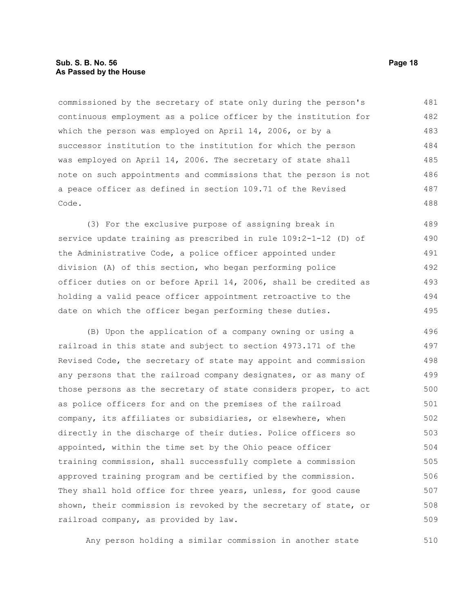# **Sub. S. B. No. 56 Page 18 As Passed by the House**

commissioned by the secretary of state only during the person's continuous employment as a police officer by the institution for which the person was employed on April 14, 2006, or by a successor institution to the institution for which the person was employed on April 14, 2006. The secretary of state shall note on such appointments and commissions that the person is not a peace officer as defined in section 109.71 of the Revised Code. 481 482 483 484 485 486 487 488

(3) For the exclusive purpose of assigning break in service update training as prescribed in rule 109:2-1-12 (D) of the Administrative Code, a police officer appointed under division (A) of this section, who began performing police officer duties on or before April 14, 2006, shall be credited as holding a valid peace officer appointment retroactive to the date on which the officer began performing these duties. 489 490 491 492 493 494 495

(B) Upon the application of a company owning or using a railroad in this state and subject to section 4973.171 of the Revised Code, the secretary of state may appoint and commission any persons that the railroad company designates, or as many of those persons as the secretary of state considers proper, to act as police officers for and on the premises of the railroad company, its affiliates or subsidiaries, or elsewhere, when directly in the discharge of their duties. Police officers so appointed, within the time set by the Ohio peace officer training commission, shall successfully complete a commission approved training program and be certified by the commission. They shall hold office for three years, unless, for good cause shown, their commission is revoked by the secretary of state, or railroad company, as provided by law. 496 497 498 499 500 501 502 503 504 505 506 507 508 509

Any person holding a similar commission in another state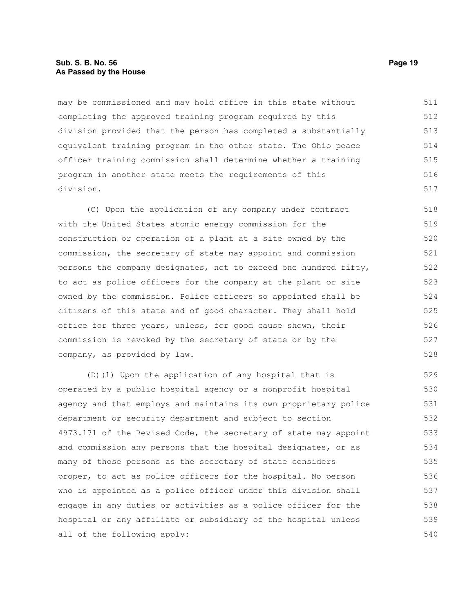# **Sub. S. B. No. 56 Page 19 As Passed by the House**

may be commissioned and may hold office in this state without completing the approved training program required by this division provided that the person has completed a substantially equivalent training program in the other state. The Ohio peace officer training commission shall determine whether a training program in another state meets the requirements of this division. 511 512 513 514 515 516 517

(C) Upon the application of any company under contract with the United States atomic energy commission for the construction or operation of a plant at a site owned by the commission, the secretary of state may appoint and commission persons the company designates, not to exceed one hundred fifty, to act as police officers for the company at the plant or site owned by the commission. Police officers so appointed shall be citizens of this state and of good character. They shall hold office for three years, unless, for good cause shown, their commission is revoked by the secretary of state or by the company, as provided by law. 518 519 520 521 522 523 524 525 526 527 528

(D)(1) Upon the application of any hospital that is operated by a public hospital agency or a nonprofit hospital agency and that employs and maintains its own proprietary police department or security department and subject to section 4973.171 of the Revised Code, the secretary of state may appoint and commission any persons that the hospital designates, or as many of those persons as the secretary of state considers proper, to act as police officers for the hospital. No person who is appointed as a police officer under this division shall engage in any duties or activities as a police officer for the hospital or any affiliate or subsidiary of the hospital unless all of the following apply: 529 530 531 532 533 534 535 536 537 538 539 540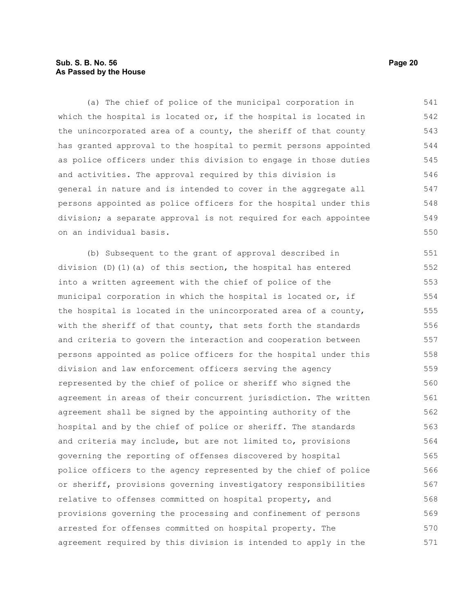# **Sub. S. B. No. 56 Page 20 As Passed by the House**

(a) The chief of police of the municipal corporation in which the hospital is located or, if the hospital is located in the unincorporated area of a county, the sheriff of that county has granted approval to the hospital to permit persons appointed as police officers under this division to engage in those duties and activities. The approval required by this division is general in nature and is intended to cover in the aggregate all persons appointed as police officers for the hospital under this division; a separate approval is not required for each appointee on an individual basis. 541 542 543 544 545 546 547 548 549 550

(b) Subsequent to the grant of approval described in division (D)(1)(a) of this section, the hospital has entered into a written agreement with the chief of police of the municipal corporation in which the hospital is located or, if the hospital is located in the unincorporated area of a county, with the sheriff of that county, that sets forth the standards and criteria to govern the interaction and cooperation between persons appointed as police officers for the hospital under this division and law enforcement officers serving the agency represented by the chief of police or sheriff who signed the agreement in areas of their concurrent jurisdiction. The written agreement shall be signed by the appointing authority of the hospital and by the chief of police or sheriff. The standards and criteria may include, but are not limited to, provisions governing the reporting of offenses discovered by hospital police officers to the agency represented by the chief of police or sheriff, provisions governing investigatory responsibilities relative to offenses committed on hospital property, and provisions governing the processing and confinement of persons arrested for offenses committed on hospital property. The agreement required by this division is intended to apply in the 551 552 553 554 555 556 557 558 559 560 561 562 563 564 565 566 567 568 569 570 571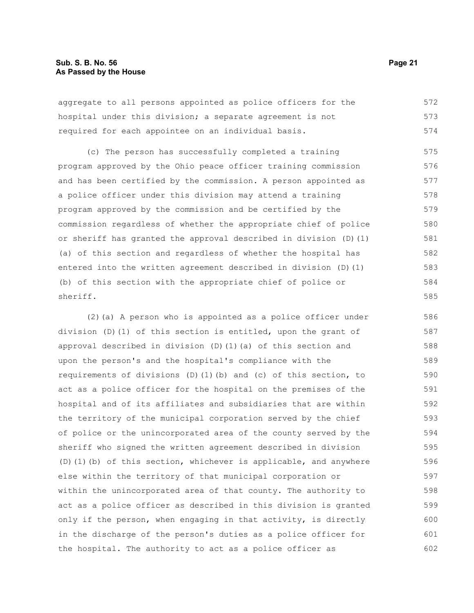aggregate to all persons appointed as police officers for the hospital under this division; a separate agreement is not required for each appointee on an individual basis. 572 573 574

(c) The person has successfully completed a training program approved by the Ohio peace officer training commission and has been certified by the commission. A person appointed as a police officer under this division may attend a training program approved by the commission and be certified by the commission regardless of whether the appropriate chief of police or sheriff has granted the approval described in division (D)(1) (a) of this section and regardless of whether the hospital has entered into the written agreement described in division (D)(1) (b) of this section with the appropriate chief of police or sheriff. 575 576 577 578 579 580 581 582 583 584 585

(2)(a) A person who is appointed as a police officer under division (D)(1) of this section is entitled, upon the grant of approval described in division (D)(1)(a) of this section and upon the person's and the hospital's compliance with the requirements of divisions (D)(1)(b) and (c) of this section, to act as a police officer for the hospital on the premises of the hospital and of its affiliates and subsidiaries that are within the territory of the municipal corporation served by the chief of police or the unincorporated area of the county served by the sheriff who signed the written agreement described in division (D)(1)(b) of this section, whichever is applicable, and anywhere else within the territory of that municipal corporation or within the unincorporated area of that county. The authority to act as a police officer as described in this division is granted only if the person, when engaging in that activity, is directly in the discharge of the person's duties as a police officer for the hospital. The authority to act as a police officer as 586 587 588 589 590 591 592 593 594 595 596 597 598 599 600 601 602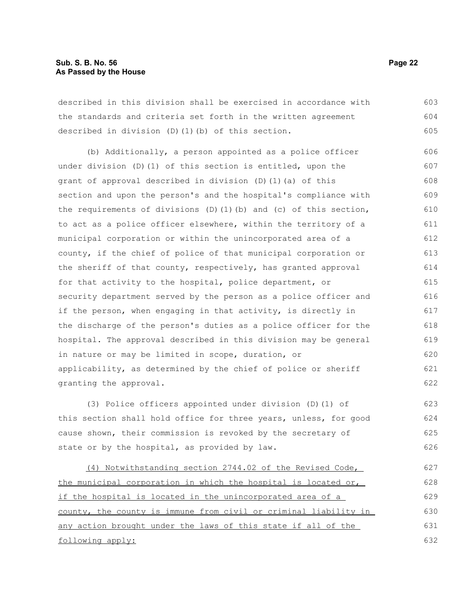described in this division shall be exercised in accordance with the standards and criteria set forth in the written agreement described in division (D)(1)(b) of this section. 603 604 605

(b) Additionally, a person appointed as a police officer under division (D)(1) of this section is entitled, upon the grant of approval described in division (D)(1)(a) of this section and upon the person's and the hospital's compliance with the requirements of divisions  $(D)(1)(b)$  and  $(c)$  of this section, to act as a police officer elsewhere, within the territory of a municipal corporation or within the unincorporated area of a county, if the chief of police of that municipal corporation or the sheriff of that county, respectively, has granted approval for that activity to the hospital, police department, or security department served by the person as a police officer and if the person, when engaging in that activity, is directly in the discharge of the person's duties as a police officer for the hospital. The approval described in this division may be general in nature or may be limited in scope, duration, or applicability, as determined by the chief of police or sheriff granting the approval. 606 607 608 609 610 611 612 613 614 615 616 617 618 619 620 621 622

(3) Police officers appointed under division (D)(1) of this section shall hold office for three years, unless, for good cause shown, their commission is revoked by the secretary of state or by the hospital, as provided by law. 623 624 625 626

(4) Notwithstanding section 2744.02 of the Revised Code, the municipal corporation in which the hospital is located or, if the hospital is located in the unincorporated area of a county, the county is immune from civil or criminal liability in any action brought under the laws of this state if all of the following apply: 627 628 629 630 631 632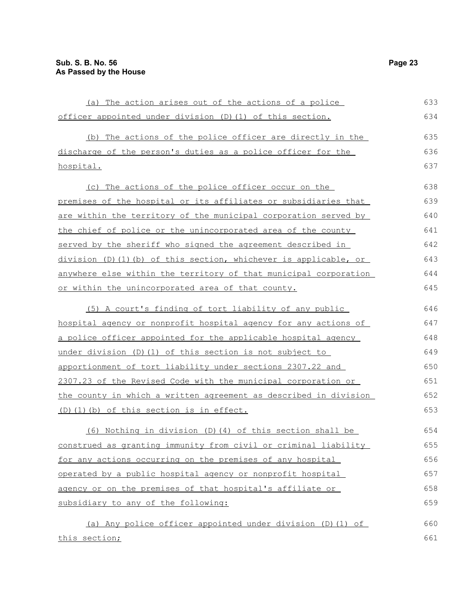| (a) The action arises out of the actions of a police             | 633 |
|------------------------------------------------------------------|-----|
| officer appointed under division (D) (1) of this section.        | 634 |
| (b) The actions of the police officer are directly in the        | 635 |
| discharge of the person's duties as a police officer for the     | 636 |
| hospital.                                                        | 637 |
| (c) The actions of the police officer occur on the               | 638 |
| premises of the hospital or its affiliates or subsidiaries that  | 639 |
| are within the territory of the municipal corporation served by  | 640 |
| the chief of police or the unincorporated area of the county     | 641 |
| served by the sheriff who signed the agreement described in      | 642 |
| division (D)(1)(b) of this section, whichever is applicable, or  | 643 |
| anywhere else within the territory of that municipal corporation | 644 |
| or within the unincorporated area of that county.                | 645 |
| (5) A court's finding of tort liability of any public            | 646 |
| hospital agency or nonprofit hospital agency for any actions of  | 647 |
| a police officer appointed for the applicable hospital agency    | 648 |
| under division (D) (1) of this section is not subject to         | 649 |
| apportionment of tort liability under sections 2307.22 and       | 650 |
| 2307.23 of the Revised Code with the municipal corporation or    | 651 |
| the county in which a written agreement as described in division | 652 |
| (D)(1)(b) of this section is in effect.                          | 653 |
| (6) Nothing in division (D) $(4)$ of this section shall be       | 654 |
| construed as granting immunity from civil or criminal liability  | 655 |
| for any actions occurring on the premises of any hospital        | 656 |
| operated by a public hospital agency or nonprofit hospital       | 657 |
| agency or on the premises of that hospital's affiliate or        | 658 |
| subsidiary to any of the following:                              | 659 |
| (a) Any police officer appointed under division (D)(1) of        | 660 |
| this section;                                                    | 661 |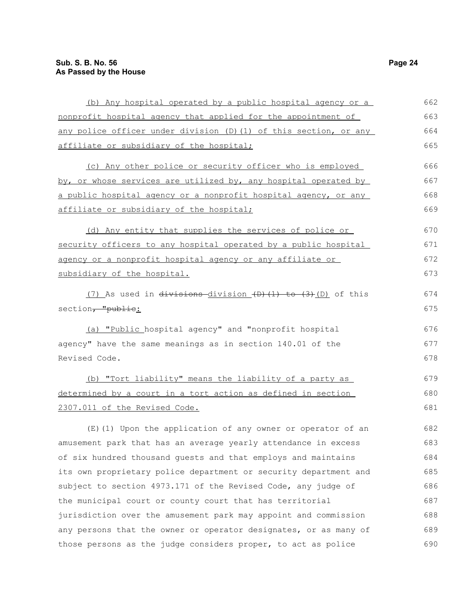| (b) Any hospital operated by a public hospital agency or a             | 662 |
|------------------------------------------------------------------------|-----|
| nonprofit hospital agency that applied for the appointment of          | 663 |
| any police officer under division (D) (1) of this section, or any      | 664 |
| affiliate or subsidiary of the hospital;                               | 665 |
| (c) Any other police or security officer who is employed               | 666 |
| by, or whose services are utilized by, any hospital operated by        | 667 |
| a public hospital agency or a nonprofit hospital agency, or any        | 668 |
| affiliate or subsidiary of the hospital;                               | 669 |
| (d) Any entity that supplies the services of police or                 | 670 |
| security officers to any hospital operated by a public hospital        | 671 |
| agency or a nonprofit hospital agency or any affiliate or              | 672 |
| subsidiary of the hospital.                                            | 673 |
| $(7)$ As used in divisions division $(D)$ $(1)$ to $(3)$ $(D)$ of this | 674 |
| section, "public:                                                      | 675 |
| (a) "Public hospital agency" and "nonprofit hospital                   | 676 |
| agency" have the same meanings as in section 140.01 of the             |     |
| Revised Code.                                                          | 678 |
| (b) "Tort liability" means the liability of a party as                 | 679 |
| determined by a court in a tort action as defined in section           | 680 |
| 2307.011 of the Revised Code.                                          | 681 |
| (E) (1) Upon the application of any owner or operator of an            | 682 |
| amusement park that has an average yearly attendance in excess         | 683 |
| of six hundred thousand quests and that employs and maintains          | 684 |
| its own proprietary police department or security department and       | 685 |
| subject to section 4973.171 of the Revised Code, any judge of          | 686 |
| the municipal court or county court that has territorial               | 687 |
| jurisdiction over the amusement park may appoint and commission        | 688 |
| any persons that the owner or operator designates, or as many of       | 689 |
| those persons as the judge considers proper, to act as police          | 690 |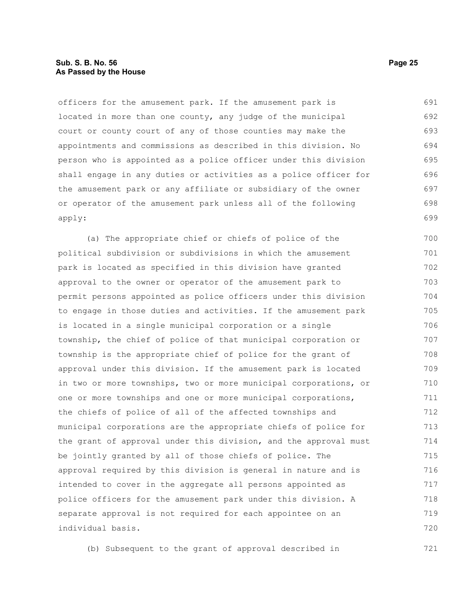# **Sub. S. B. No. 56 Page 25 As Passed by the House**

officers for the amusement park. If the amusement park is located in more than one county, any judge of the municipal court or county court of any of those counties may make the appointments and commissions as described in this division. No person who is appointed as a police officer under this division shall engage in any duties or activities as a police officer for the amusement park or any affiliate or subsidiary of the owner or operator of the amusement park unless all of the following apply: 691 692 693 694 695 696 697 698 699

(a) The appropriate chief or chiefs of police of the political subdivision or subdivisions in which the amusement park is located as specified in this division have granted approval to the owner or operator of the amusement park to permit persons appointed as police officers under this division to engage in those duties and activities. If the amusement park is located in a single municipal corporation or a single township, the chief of police of that municipal corporation or township is the appropriate chief of police for the grant of approval under this division. If the amusement park is located in two or more townships, two or more municipal corporations, or one or more townships and one or more municipal corporations, the chiefs of police of all of the affected townships and municipal corporations are the appropriate chiefs of police for the grant of approval under this division, and the approval must be jointly granted by all of those chiefs of police. The approval required by this division is general in nature and is intended to cover in the aggregate all persons appointed as police officers for the amusement park under this division. A separate approval is not required for each appointee on an individual basis. 700 701 702 703 704 705 706 707 708 709 710 711 712 713 714 715 716 717 718 719 720

(b) Subsequent to the grant of approval described in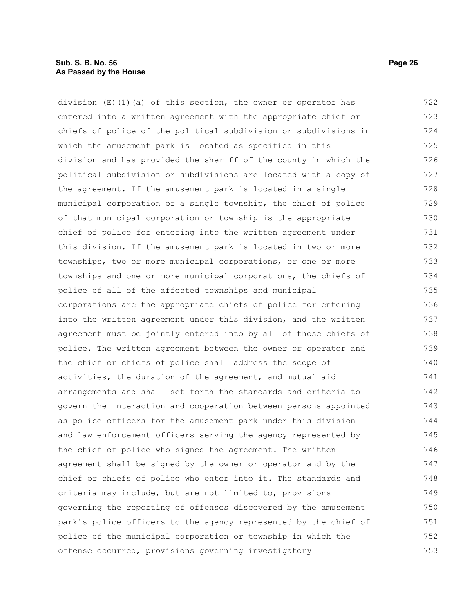# **Sub. S. B. No. 56 Page 26 As Passed by the House**

division  $(E)$  (1)(a) of this section, the owner or operator has entered into a written agreement with the appropriate chief or chiefs of police of the political subdivision or subdivisions in which the amusement park is located as specified in this division and has provided the sheriff of the county in which the political subdivision or subdivisions are located with a copy of the agreement. If the amusement park is located in a single municipal corporation or a single township, the chief of police of that municipal corporation or township is the appropriate chief of police for entering into the written agreement under this division. If the amusement park is located in two or more townships, two or more municipal corporations, or one or more townships and one or more municipal corporations, the chiefs of police of all of the affected townships and municipal corporations are the appropriate chiefs of police for entering into the written agreement under this division, and the written agreement must be jointly entered into by all of those chiefs of police. The written agreement between the owner or operator and the chief or chiefs of police shall address the scope of activities, the duration of the agreement, and mutual aid arrangements and shall set forth the standards and criteria to govern the interaction and cooperation between persons appointed as police officers for the amusement park under this division and law enforcement officers serving the agency represented by the chief of police who signed the agreement. The written agreement shall be signed by the owner or operator and by the chief or chiefs of police who enter into it. The standards and criteria may include, but are not limited to, provisions governing the reporting of offenses discovered by the amusement park's police officers to the agency represented by the chief of police of the municipal corporation or township in which the offense occurred, provisions governing investigatory 722 723 724 725 726 727 728 729 730 731 732 733 734 735 736 737 738 739 740 741 742 743 744 745 746 747 748 749 750 751 752 753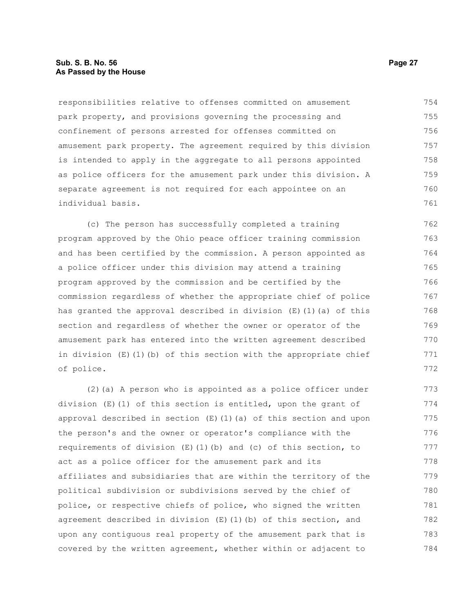# **Sub. S. B. No. 56 Page 27 As Passed by the House**

responsibilities relative to offenses committed on amusement park property, and provisions governing the processing and confinement of persons arrested for offenses committed on amusement park property. The agreement required by this division is intended to apply in the aggregate to all persons appointed as police officers for the amusement park under this division. A separate agreement is not required for each appointee on an individual basis. 754 755 756 757 758 759 760 761

(c) The person has successfully completed a training program approved by the Ohio peace officer training commission and has been certified by the commission. A person appointed as a police officer under this division may attend a training program approved by the commission and be certified by the commission regardless of whether the appropriate chief of police has granted the approval described in division (E)(1)(a) of this section and regardless of whether the owner or operator of the amusement park has entered into the written agreement described in division  $(E)$  (1)(b) of this section with the appropriate chief of police.

(2)(a) A person who is appointed as a police officer under division (E)(1) of this section is entitled, upon the grant of approval described in section  $(E)$  (1)(a) of this section and upon the person's and the owner or operator's compliance with the requirements of division  $(E)(1)(b)$  and (c) of this section, to act as a police officer for the amusement park and its affiliates and subsidiaries that are within the territory of the political subdivision or subdivisions served by the chief of police, or respective chiefs of police, who signed the written agreement described in division  $(E)$  (1)(b) of this section, and upon any contiguous real property of the amusement park that is covered by the written agreement, whether within or adjacent to 773 774 775 776 777 778 779 780 781 782 783 784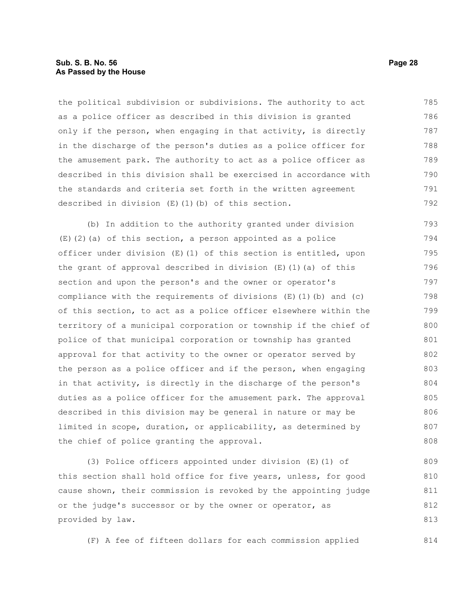#### **Sub. S. B. No. 56 Page 28 As Passed by the House**

the political subdivision or subdivisions. The authority to act as a police officer as described in this division is granted only if the person, when engaging in that activity, is directly in the discharge of the person's duties as a police officer for the amusement park. The authority to act as a police officer as described in this division shall be exercised in accordance with the standards and criteria set forth in the written agreement described in division (E)(1)(b) of this section. 785 786 787 788 789 790 791 792

(b) In addition to the authority granted under division (E)(2)(a) of this section, a person appointed as a police officer under division (E)(1) of this section is entitled, upon the grant of approval described in division  $(E)$  (1)(a) of this section and upon the person's and the owner or operator's compliance with the requirements of divisions  $(E)$  (1)(b) and (c) of this section, to act as a police officer elsewhere within the territory of a municipal corporation or township if the chief of police of that municipal corporation or township has granted approval for that activity to the owner or operator served by the person as a police officer and if the person, when engaging in that activity, is directly in the discharge of the person's duties as a police officer for the amusement park. The approval described in this division may be general in nature or may be limited in scope, duration, or applicability, as determined by the chief of police granting the approval. 793 794 795 796 797 798 799 800 801 802 803 804 805 806 807 808

(3) Police officers appointed under division (E)(1) of this section shall hold office for five years, unless, for good cause shown, their commission is revoked by the appointing judge or the judge's successor or by the owner or operator, as provided by law. 809 810 811 812 813

(F) A fee of fifteen dollars for each commission applied